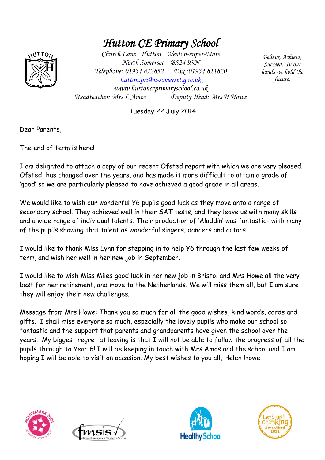## *Hutton CE Primary School*



*Church Lane Hutton Weston-super-Mare North Somerset BS24 9SN Telephone: 01934 812852 Fax :01934 811820 [hutton.pri@n-somerset.gov.uk](mailto:hutton.pri@n-somerset.gov.uk)  www.huttonceprimaryschool.co.uk Headteacher: Mrs L Amos Deputy Head: Mrs H Howe*

*Believe, Achieve, Succeed. In our hands we hold the future.*

Tuesday 22 July 2014

Dear Parents,

The end of term is here!

I am delighted to attach a copy of our recent Ofsted report with which we are very pleased. Ofsted has changed over the years, and has made it more difficult to attain a grade of 'good' so we are particularly pleased to have achieved a good grade in all areas.

We would like to wish our wonderful Y6 pupils good luck as they move onto a range of secondary school. They achieved well in their SAT tests, and they leave us with many skills and a wide range of individual talents. Their production of 'Aladdin' was fantastic- with many of the pupils showing that talent as wonderful singers, dancers and actors.

I would like to thank Miss Lynn for stepping in to help Y6 through the last few weeks of term, and wish her well in her new job in September.

I would like to wish Miss Miles good luck in her new job in Bristol and Mrs Howe all the very best for her retirement, and move to the Netherlands. We will miss them all, but I am sure they will enjoy their new challenges.

Message from Mrs Howe: Thank you so much for all the good wishes, kind words, cards and gifts. I shall miss everyone so much, especially the lovely pupils who make our school so fantastic and the support that parents and grandparents have given the school over the years. My biggest regret at leaving is that I will not be able to follow the progress of all the pupils through to Year 6! I will be keeping in touch with Mrs Amos and the school and I am hoping I will be able to visit on occasion. My best wishes to you all, Helen Howe.